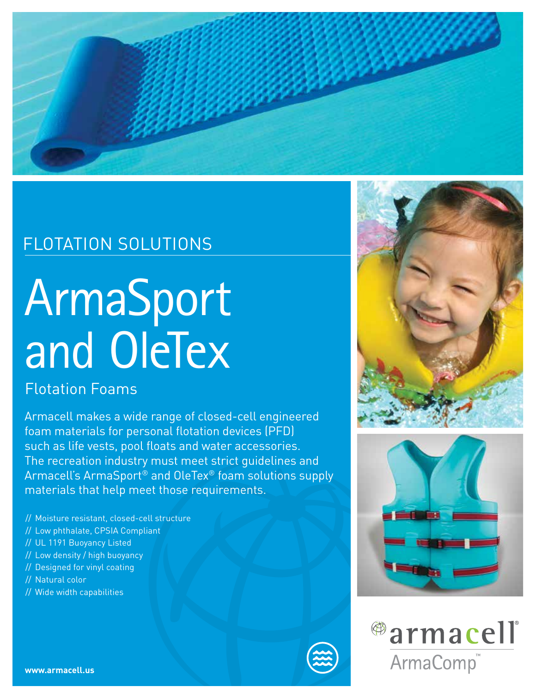

## FLOTATION SOLUTIONS

# ArmaSport and OleTex

### Flotation Foams

Armacell makes a wide range of closed-cell engineered foam materials for personal flotation devices (PFD) such as life vests, pool floats and water accessories. The recreation industry must meet strict guidelines and Armacell's ArmaSport® and OleTex® foam solutions supply materials that help meet those requirements.

- // Moisture resistant, closed-cell structure
- // Low phthalate, CPSIA Compliant
- // UL 1191 Buoyancy Listed
- // Low density / high buoyancy
- // Designed for vinyl coating
- // Natural color
- // Wide width capabilities